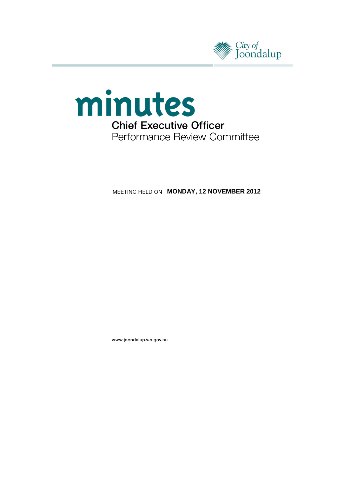



**MEETING HELD ON MONDAY, 12 NOVEMBER 2012** 

www.joondalup.wa.gov.au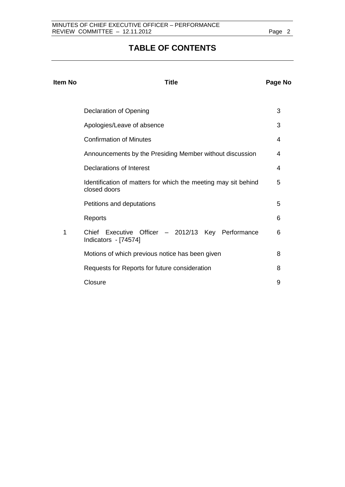# **TABLE OF CONTENTS**

| <b>Item No</b> | <b>Title</b>                                                                   | Page No |
|----------------|--------------------------------------------------------------------------------|---------|
|                | <b>Declaration of Opening</b>                                                  | 3       |
|                | Apologies/Leave of absence                                                     | 3       |
|                | <b>Confirmation of Minutes</b>                                                 | 4       |
|                | Announcements by the Presiding Member without discussion                       | 4       |
|                | Declarations of Interest                                                       | 4       |
|                | Identification of matters for which the meeting may sit behind<br>closed doors | 5       |
|                | Petitions and deputations                                                      | 5       |
|                | Reports                                                                        | 6       |
| 1              | Chief Executive Officer - 2012/13 Key Performance<br>Indicators - [74574]      | 6       |
|                | Motions of which previous notice has been given                                | 8       |
|                | Requests for Reports for future consideration                                  | 8       |
|                | Closure                                                                        | 9       |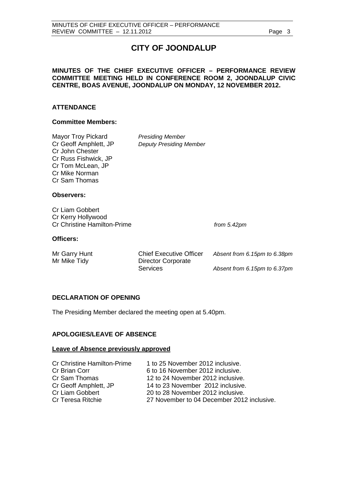# **CITY OF JOONDALUP**

# **MINUTES OF THE CHIEF EXECUTIVE OFFICER – PERFORMANCE REVIEW COMMITTEE MEETING HELD IN CONFERENCE ROOM 2, JOONDALUP CIVIC CENTRE, BOAS AVENUE, JOONDALUP ON MONDAY, 12 NOVEMBER 2012.**

# **ATTENDANCE**

## **Committee Members:**

Mayor Troy Pickard<br>Cr Geoff Amphlett, JP Deputy Presiding N Cr John Chester Cr Russ Fishwick, JP Cr Tom McLean, JP Cr Mike Norman Cr Sam Thomas

**Deputy Presiding Member** 

## **Observers:**

Cr Liam Gobbert Cr Kerry Hollywood Cr Christine Hamilton-Prime *from 5.42pm*

## **Officers:**

| Mr Garry Hunt |
|---------------|
| Mr Mike Tidy  |

Chief Executive Officer Absent from 6.15pm to 6.38pm Director Corporate Services *Absent from 6.15pm to 6.37pm*

# <span id="page-2-0"></span>**DECLARATION OF OPENING**

The Presiding Member declared the meeting open at 5.40pm.

# <span id="page-2-1"></span>**APOLOGIES/LEAVE OF ABSENCE**

#### **Leave of Absence previously approved**

| <b>Cr Christine Hamilton-Prime</b> | 1 to 25 November 2012 inclusive.           |
|------------------------------------|--------------------------------------------|
| Cr Brian Corr                      | 6 to 16 November 2012 inclusive.           |
| Cr Sam Thomas                      | 12 to 24 November 2012 inclusive.          |
| Cr Geoff Amphlett, JP              | 14 to 23 November 2012 inclusive.          |
| <b>Cr Liam Gobbert</b>             | 20 to 28 November 2012 inclusive.          |
| Cr Teresa Ritchie                  | 27 November to 04 December 2012 inclusive. |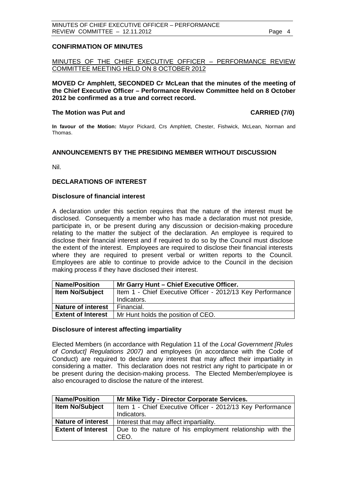# <span id="page-3-0"></span>**CONFIRMATION OF MINUTES**

MINUTES OF THE CHIEF EXECUTIVE OFFICER – PERFORMANCE REVIEW COMMITTEE MEETING HELD ON 8 OCTOBER 2012

**MOVED Cr Amphlett, SECONDED Cr McLean that the minutes of the meeting of the Chief Executive Officer – Performance Review Committee held on 8 October 2012 be confirmed as a true and correct record.**

## **The Motion was Put and CARRIED (7/0)**

**In favour of the Motion:** Mayor Pickard, Crs Amphlett, Chester, Fishwick, McLean, Norman and Thomas.

## <span id="page-3-1"></span>**ANNOUNCEMENTS BY THE PRESIDING MEMBER WITHOUT DISCUSSION**

Nil.

## <span id="page-3-2"></span>**DECLARATIONS OF INTEREST**

#### **Disclosure of financial interest**

A declaration under this section requires that the nature of the interest must be disclosed. Consequently a member who has made a declaration must not preside, participate in, or be present during any discussion or decision-making procedure relating to the matter the subject of the declaration. An employee is required to disclose their financial interest and if required to do so by the Council must disclose the extent of the interest. Employees are required to disclose their financial interests where they are required to present verbal or written reports to the Council. Employees are able to continue to provide advice to the Council in the decision making process if they have disclosed their interest.

| <b>Name/Position</b>      | Mr Garry Hunt - Chief Executive Officer.                   |
|---------------------------|------------------------------------------------------------|
| <b>Item No/Subject</b>    | Item 1 - Chief Executive Officer - 2012/13 Key Performance |
|                           | Indicators.                                                |
| <b>Nature of interest</b> | Financial.                                                 |
| <b>Extent of Interest</b> | Mr Hunt holds the position of CEO.                         |

## **Disclosure of interest affecting impartiality**

Elected Members (in accordance with Regulation 11 of the *Local Government [Rules of Conduct] Regulations 2007)* and employees (in accordance with the Code of Conduct) are required to declare any interest that may affect their impartiality in considering a matter. This declaration does not restrict any right to participate in or be present during the decision-making process. The Elected Member/employee is also encouraged to disclose the nature of the interest.

| <b>Name/Position</b>      | Mr Mike Tidy - Director Corporate Services.                       |  |
|---------------------------|-------------------------------------------------------------------|--|
| <b>Item No/Subject</b>    | Item 1 - Chief Executive Officer - 2012/13 Key Performance        |  |
|                           | Indicators.                                                       |  |
| <b>Nature of interest</b> | Interest that may affect impartiality.                            |  |
| <b>Extent of Interest</b> | Due to the nature of his employment relationship with the<br>CEO. |  |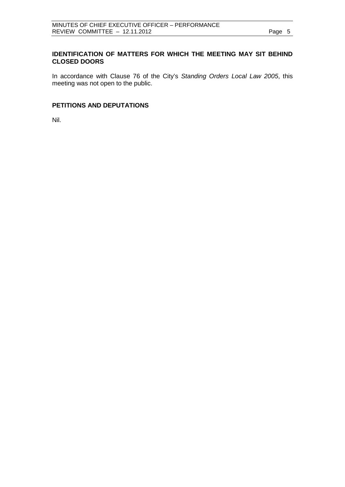# <span id="page-4-0"></span>**IDENTIFICATION OF MATTERS FOR WHICH THE MEETING MAY SIT BEHIND CLOSED DOORS**

In accordance with Clause 76 of the City's *Standing Orders Local Law 2005*, this meeting was not open to the public.

# <span id="page-4-1"></span>**PETITIONS AND DEPUTATIONS**

Nil.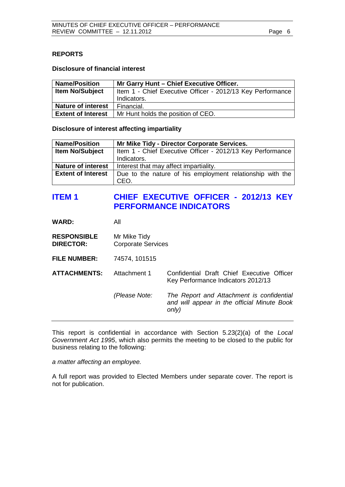# <span id="page-5-0"></span>**REPORTS**

# **Disclosure of financial interest**

| <b>Name/Position</b>      | Mr Garry Hunt - Chief Executive Officer.                   |
|---------------------------|------------------------------------------------------------|
| <b>Item No/Subject</b>    | Item 1 - Chief Executive Officer - 2012/13 Key Performance |
|                           | Indicators.                                                |
| <b>Nature of interest</b> | Financial.                                                 |
| <b>Extent of Interest</b> | Mr Hunt holds the position of CEO.                         |

# **Disclosure of interest affecting impartiality**

| <b>Name/Position</b>      | Mr Mike Tidy - Director Corporate Services.                |  |
|---------------------------|------------------------------------------------------------|--|
| <b>Item No/Subject</b>    | Item 1 - Chief Executive Officer - 2012/13 Key Performance |  |
|                           | Indicators.                                                |  |
| <b>Nature of interest</b> | Interest that may affect impartiality.                     |  |
| <b>Extent of Interest</b> | Due to the nature of his employment relationship with the  |  |
|                           | CEO.                                                       |  |

# **ITEM 1 CHIEF EXECUTIVE OFFICER - 2012/13 KEY PERFORMANCE INDICATORS**

| WARD: | All |
|-------|-----|
|-------|-----|

| <b>RESPONSIBLE</b> | Mr Mike Tidy              |
|--------------------|---------------------------|
| <b>DIRECTOR:</b>   | <b>Corporate Services</b> |

**FILE NUMBER:** 74574, 101515

**ATTACHMENTS:** Attachment 1 Confidential Draft Chief Executive Officer Key Performance Indicators 2012/13

> *(Please Note: The Report and Attachment is confidential and will appear in the official Minute Book only)*

This report is confidential in accordance with Section 5.23(2)(a) of the *Local Government Act 1995*, which also permits the meeting to be closed to the public for business relating to the following:

*a matter affecting an employee.*

A full report was provided to Elected Members under separate cover. The report is not for publication.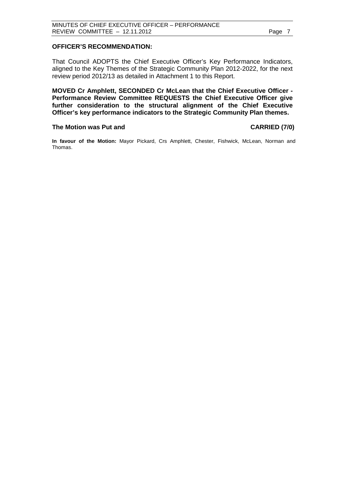#### **OFFICER'S RECOMMENDATION:**

That Council ADOPTS the Chief Executive Officer's Key Performance Indicators, aligned to the Key Themes of the Strategic Community Plan 2012-2022, for the next review period 2012/13 as detailed in Attachment 1 to this Report.

**MOVED Cr Amphlett, SECONDED Cr McLean that the Chief Executive Officer - Performance Review Committee REQUESTS the Chief Executive Officer give further consideration to the structural alignment of the Chief Executive Officer's key performance indicators to the Strategic Community Plan themes.**

#### The Motion was Put and **CARRIED** (7/0)

**In favour of the Motion:** Mayor Pickard, Crs Amphlett, Chester, Fishwick, McLean, Norman and Thomas.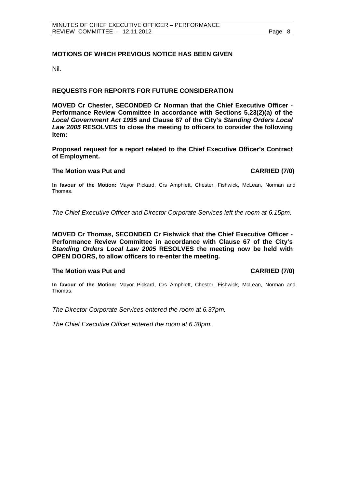# <span id="page-7-0"></span>**MOTIONS OF WHICH PREVIOUS NOTICE HAS BEEN GIVEN**

Nil.

# **REQUESTS FOR REPORTS FOR FUTURE CONSIDERATION**

**MOVED Cr Chester, SECONDED Cr Norman that the Chief Executive Officer - Performance Review Committee in accordance with Sections 5.23(2)(a) of the**  *Local Government Act 1995* **and Clause 67 of the City's** *Standing Orders Local Law 2005* **RESOLVES to close the meeting to officers to consider the following Item:**

**Proposed request for a report related to the Chief Executive Officer's Contract of Employment.**

#### **The Motion was Put and CARRIED (7/0)**

**In favour of the Motion:** Mayor Pickard, Crs Amphlett, Chester, Fishwick, McLean, Norman and Thomas.

*The Chief Executive Officer and Director Corporate Services left the room at 6.15pm.*

**MOVED Cr Thomas, SECONDED Cr Fishwick that the Chief Executive Officer - Performance Review Committee in accordance with Clause 67 of the City's**  *Standing Orders Local Law 2005* **RESOLVES the meeting now be held with OPEN DOORS, to allow officers to re-enter the meeting.**

## **The Motion was Put and CARRIED (7/0)**

**In favour of the Motion:** Mayor Pickard, Crs Amphlett, Chester, Fishwick, McLean, Norman and Thomas.

*The Director Corporate Services entered the room at 6.37pm.*

*The Chief Executive Officer entered the room at 6.38pm.*